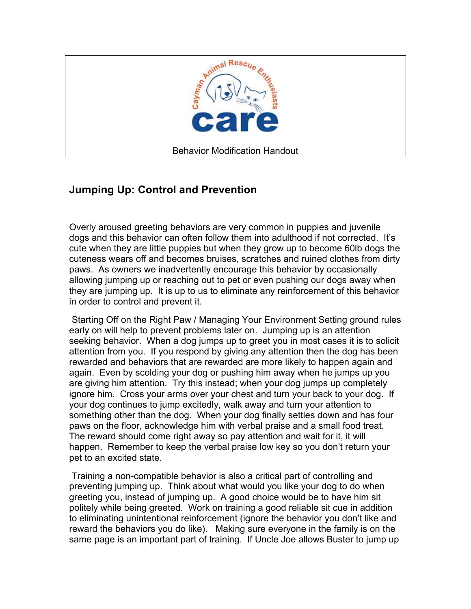

## **Jumping Up: Control and Prevention**

Overly aroused greeting behaviors are very common in puppies and juvenile dogs and this behavior can often follow them into adulthood if not corrected. It's cute when they are little puppies but when they grow up to become 60lb dogs the cuteness wears off and becomes bruises, scratches and ruined clothes from dirty paws. As owners we inadvertently encourage this behavior by occasionally allowing jumping up or reaching out to pet or even pushing our dogs away when they are jumping up. It is up to us to eliminate any reinforcement of this behavior in order to control and prevent it.

 Starting Off on the Right Paw / Managing Your Environment Setting ground rules early on will help to prevent problems later on. Jumping up is an attention seeking behavior. When a dog jumps up to greet you in most cases it is to solicit attention from you. If you respond by giving any attention then the dog has been rewarded and behaviors that are rewarded are more likely to happen again and again. Even by scolding your dog or pushing him away when he jumps up you are giving him attention. Try this instead; when your dog jumps up completely ignore him. Cross your arms over your chest and turn your back to your dog. If your dog continues to jump excitedly, walk away and turn your attention to something other than the dog. When your dog finally settles down and has four paws on the floor, acknowledge him with verbal praise and a small food treat. The reward should come right away so pay attention and wait for it, it will happen. Remember to keep the verbal praise low key so you don't return your pet to an excited state.

 Training a non-compatible behavior is also a critical part of controlling and preventing jumping up. Think about what would you like your dog to do when greeting you, instead of jumping up. A good choice would be to have him sit politely while being greeted. Work on training a good reliable sit cue in addition to eliminating unintentional reinforcement (ignore the behavior you don't like and reward the behaviors you do like). Making sure everyone in the family is on the same page is an important part of training. If Uncle Joe allows Buster to jump up